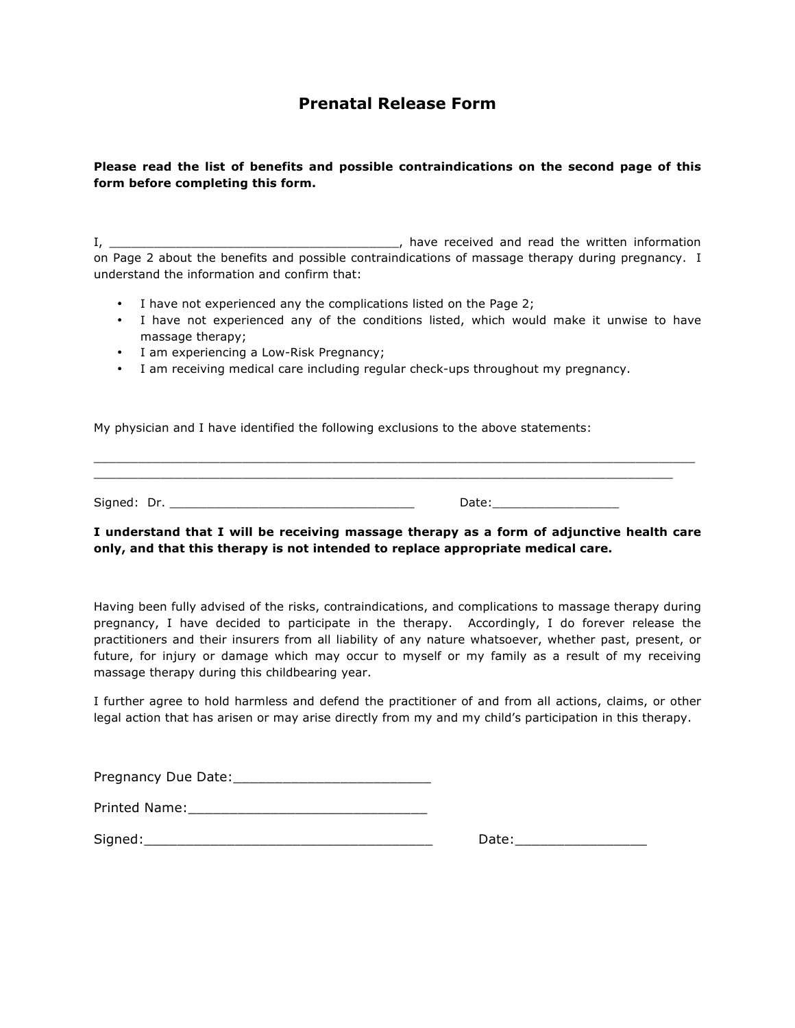## **Prenatal Release Form**

#### **Please read the list of benefits and possible contraindications on the second page of this form before completing this form.**

I, \_\_\_\_\_\_\_\_\_\_\_\_\_\_\_\_\_\_\_\_\_\_\_\_\_\_\_\_\_\_\_\_\_\_\_\_\_\_\_, have received and read the written information on Page 2 about the benefits and possible contraindications of massage therapy during pregnancy. I understand the information and confirm that:

- I have not experienced any the complications listed on the Page 2;
- I have not experienced any of the conditions listed, which would make it unwise to have massage therapy;
- I am experiencing a Low-Risk Pregnancy;
- I am receiving medical care including regular check-ups throughout my pregnancy.

My physician and I have identified the following exclusions to the above statements:

\_\_\_\_\_\_\_\_\_\_\_\_\_\_\_\_\_\_\_\_\_\_\_\_\_\_\_\_\_\_\_\_\_\_\_\_\_\_\_\_\_\_\_\_\_\_\_\_\_\_\_\_\_\_\_\_\_\_\_\_\_\_\_\_\_\_\_\_\_\_\_\_\_\_\_\_\_\_ Signed: Dr. \_\_\_\_\_\_\_\_\_\_\_\_\_\_\_\_\_\_\_\_\_\_\_\_\_\_\_\_\_\_\_\_\_ Date:\_\_\_\_\_\_\_\_\_\_\_\_\_\_\_\_\_

\_\_\_\_\_\_\_\_\_\_\_\_\_\_\_\_\_\_\_\_\_\_\_\_\_\_\_\_\_\_\_\_\_\_\_\_\_\_\_\_\_\_\_\_\_\_\_\_\_\_\_\_\_\_\_\_\_\_\_\_\_\_\_\_\_\_\_\_\_\_\_\_\_\_\_\_\_\_\_\_\_

### **I understand that I will be receiving massage therapy as a form of adjunctive health care only, and that this therapy is not intended to replace appropriate medical care.**

Having been fully advised of the risks, contraindications, and complications to massage therapy during pregnancy, I have decided to participate in the therapy. Accordingly, I do forever release the practitioners and their insurers from all liability of any nature whatsoever, whether past, present, or future, for injury or damage which may occur to myself or my family as a result of my receiving massage therapy during this childbearing year.

I further agree to hold harmless and defend the practitioner of and from all actions, claims, or other legal action that has arisen or may arise directly from my and my child's participation in this therapy.

| Pregnancy Due Date: |
|---------------------|
|                     |

| Printed Name: |  |  |  |  |
|---------------|--|--|--|--|
|               |  |  |  |  |
|               |  |  |  |  |

Signed:\_\_\_\_\_\_\_\_\_\_\_\_\_\_\_\_\_\_\_\_\_\_\_\_\_\_\_\_\_\_\_\_\_\_\_ Date:\_\_\_\_\_\_\_\_\_\_\_\_\_\_\_\_